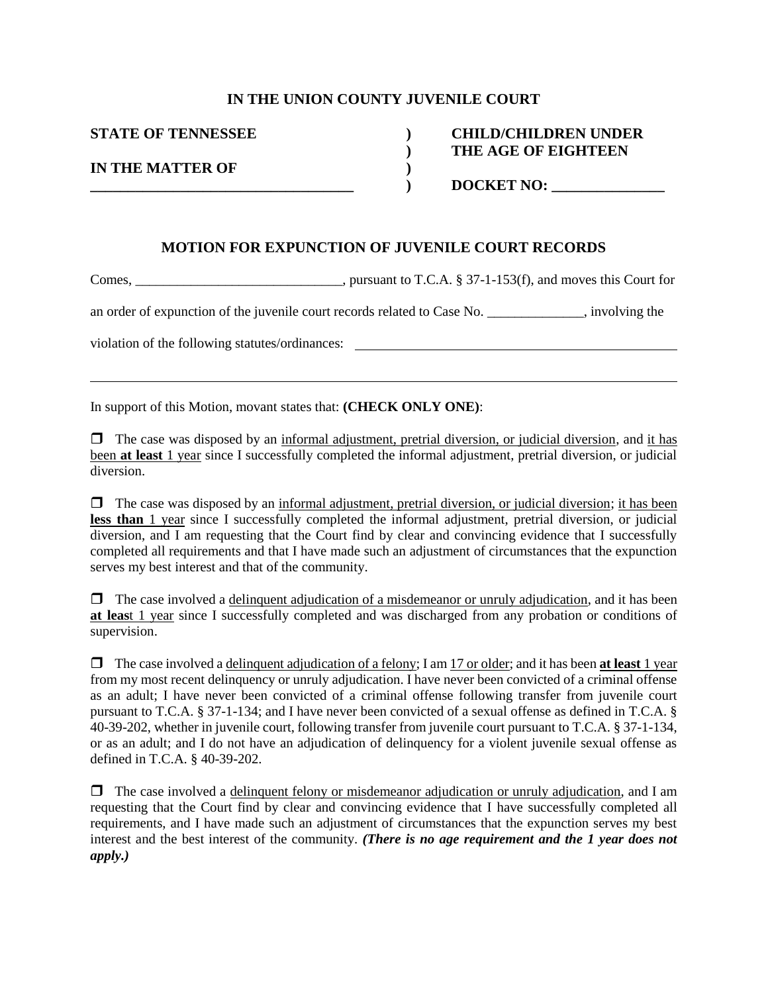#### **IN THE UNION COUNTY JUVENILE COURT**

**IN THE MATTER OF )**

## **STATE OF TENNESSEE ) CHILD/CHILDREN UNDER ) THE AGE OF EIGHTEEN**

**) \_\_\_\_\_\_\_\_\_\_\_\_\_\_\_\_\_\_\_\_\_\_\_\_\_\_\_\_\_\_\_\_\_\_\_ ) DOCKET NO: \_\_\_\_\_\_\_\_\_\_\_\_\_\_\_** 

#### **MOTION FOR EXPUNCTION OF JUVENILE COURT RECORDS**

Comes, \_\_\_\_\_\_\_\_\_\_\_\_\_\_\_\_\_\_\_\_\_\_\_\_\_\_\_\_\_, pursuant to T.C.A. § 37-1-153(f), and moves this Court for

an order of expunction of the juvenile court records related to Case No.  $\blacksquare$ , involving the

violation of the following statutes/ordinances:

In support of this Motion, movant states that: **(CHECK ONLY ONE)**:

 $\Box$  The case was disposed by an informal adjustment, pretrial diversion, or judicial diversion, and it has been **at least** 1 year since I successfully completed the informal adjustment, pretrial diversion, or judicial diversion.

 $\Box$  The case was disposed by an informal adjustment, pretrial diversion, or judicial diversion; it has been **less than** 1 year since I successfully completed the informal adjustment, pretrial diversion, or judicial diversion, and I am requesting that the Court find by clear and convincing evidence that I successfully completed all requirements and that I have made such an adjustment of circumstances that the expunction serves my best interest and that of the community.

 $\Box$  The case involved a delinquent adjudication of a misdemeanor or unruly adjudication, and it has been **at leas**t 1 year since I successfully completed and was discharged from any probation or conditions of supervision.

 The case involved a delinquent adjudication of a felony; I am 17 or older; and it has been **at least** 1 year from my most recent delinquency or unruly adjudication. I have never been convicted of a criminal offense as an adult; I have never been convicted of a criminal offense following transfer from juvenile court pursuant to T.C.A. § 37-1-134; and I have never been convicted of a sexual offense as defined in T.C.A. § 40-39-202, whether in juvenile court, following transfer from juvenile court pursuant to T.C.A. § 37-1-134, or as an adult; and I do not have an adjudication of delinquency for a violent juvenile sexual offense as defined in T.C.A. § 40-39-202.

 $\Box$  The case involved a delinquent felony or misdemeanor adjudication or unruly adjudication, and I am requesting that the Court find by clear and convincing evidence that I have successfully completed all requirements, and I have made such an adjustment of circumstances that the expunction serves my best interest and the best interest of the community. *(There is no age requirement and the 1 year does not apply.)*